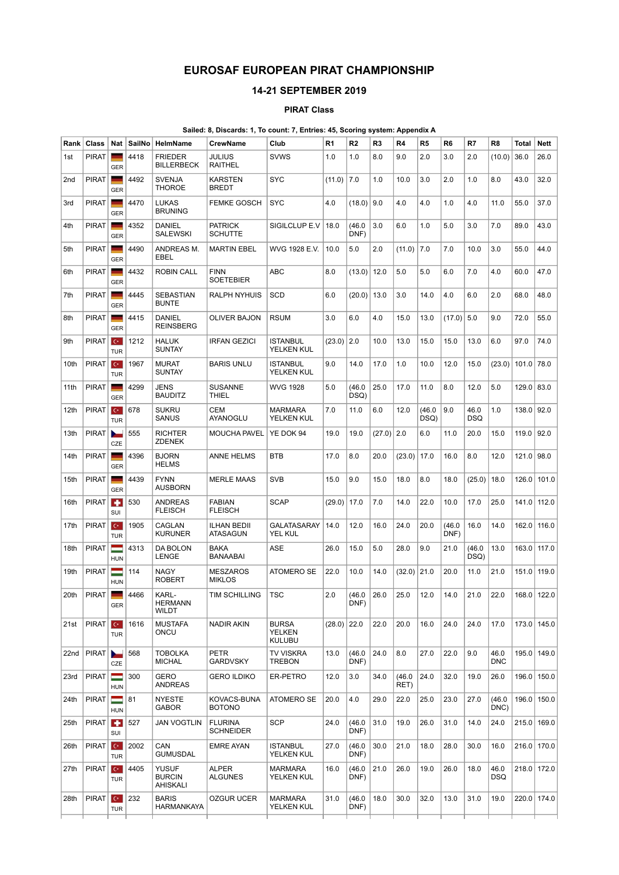## EUROSAF EUROPEAN PIRAT CHAMPIONSHIP

## 14-21 SEPTEMBER 2019

## PIRAT Class

## Sailed: 8, Discards: 1, To count: 7, Entries: 45, Scoring system: Appendix A

| <b>PIRAT</b><br>1st<br><b>PIRAT</b><br>2nd<br><b>PIRAT</b><br>3rd<br><b>PIRAT</b><br>4th | <b>GER</b><br><b>GER</b><br><b>College</b><br><b>GER</b><br><b>GER</b> | 4418<br>4492<br>4470 | <b>FRIEDER</b><br><b>BILLERBECK</b><br><b>SVENJA</b><br><b>THOROE</b> | JULIUS<br><b>RAITHEL</b><br>KARSTEN | <b>SVWS</b>                             | 1.0           | 1.0            | 8.0          | 9.0            | 2.0            | 3.0            | 2.0                | (10.0)             | 36.0            | 26.0          |
|------------------------------------------------------------------------------------------|------------------------------------------------------------------------|----------------------|-----------------------------------------------------------------------|-------------------------------------|-----------------------------------------|---------------|----------------|--------------|----------------|----------------|----------------|--------------------|--------------------|-----------------|---------------|
|                                                                                          |                                                                        |                      |                                                                       |                                     |                                         |               |                |              |                |                |                |                    |                    |                 |               |
|                                                                                          |                                                                        |                      |                                                                       | <b>BREDT</b>                        | <b>SYC</b>                              | (11.0)        | 7.0            | 1.0          | 10.0           | 3.0            | 2.0            | 1.0                | 8.0                | 43.0            | 32.0          |
|                                                                                          |                                                                        |                      | <b>LUKAS</b><br><b>BRUNING</b>                                        | <b>FEMKE GOSCH</b>                  | <b>SYC</b>                              | 4.0           | (18.0)         | 9.0          | 4.0            | 4.0            | 1.0            | 4.0                | 11.0               | 55.0            | 37.0          |
|                                                                                          |                                                                        | 4352                 | <b>DANIEL</b><br>SALEWSKI                                             | <b>PATRICK</b><br><b>SCHUTTE</b>    | SIGILCLUP E.V                           | 18.0          | (46.0)<br>DNF) | 3.0          | 6.0            | 1.0            | 5.0            | 3.0                | 7.0                | 89.0            | 43.0          |
| <b>PIRAT</b><br>5th                                                                      | <b>GER</b>                                                             | 4490                 | ANDREAS M.<br>EBEL                                                    | <b>MARTIN EBEL</b>                  | WVG 1928 E.V.                           | 10.0          | 5.0            | 2.0          | (11.0)         | 7.0            | 7.0            | 10.0               | 3.0                | 55.0            | 44.0          |
| <b>PIRAT</b><br>6th                                                                      | <b>College</b><br><b>GER</b>                                           | 4432                 | <b>ROBIN CALL</b>                                                     | <b>FINN</b><br><b>SOETEBIER</b>     | <b>ABC</b>                              | 8.0           | (13.0)         | 12.0         | 5.0            | 5.0            | 6.0            | 7.0                | 4.0                | 60.0            | 47.0          |
| <b>PIRAT</b><br>7th                                                                      | <b>GER</b>                                                             | 4445                 | <b>SEBASTIAN</b><br><b>BUNTE</b>                                      | <b>RALPH NYHUIS</b>                 | <b>SCD</b>                              | 6.0           | (20.0)         | 13.0         | 3.0            | 14.0           | 4.0            | 6.0                | 2.0                | 68.0            | 48.0          |
| <b>PIRAT</b><br>8th                                                                      | <b>Contract</b><br><b>GER</b>                                          | 4415                 | DANIEL<br><b>REINSBERG</b>                                            | OLIVER BAJON                        | <b>RSUM</b>                             | 3.0           | 6.0            | 4.0          | 15.0           | 13.0           | $(17.0)$ 5.0   |                    | 9.0                | 72.0            | 55.0          |
| <b>PIRAT</b><br>9th                                                                      | $C^*$<br><b>TUR</b>                                                    | 1212                 | <b>HALUK</b><br><b>SUNTAY</b>                                         | <b>IRFAN GEZICI</b>                 | <b>ISTANBUL</b><br>YELKEN KUL           | (23.0)        | 2.0            | 10.0         | 13.0           | 15.0           | 15.0           | 13.0               | 6.0                | 97.0            | 74.0          |
| <b>PIRAT</b><br>10th                                                                     | $C^*$<br><b>TUR</b>                                                    | 1967                 | <b>MURAT</b><br><b>SUNTAY</b>                                         | <b>BARIS UNLU</b>                   | <b>ISTANBUL</b><br>YELKEN KUL           | 9.0           | 14.0           | 17.0         | 1.0            | 10.0           | 12.0           | 15.0               | (23.0)             | 101.0           | 78.0          |
| <b>PIRAT</b><br>11th                                                                     | <b>GER</b>                                                             | 4299                 | JENS<br><b>BAUDITZ</b>                                                | SUSANNE<br>THIEL                    | <b>WVG 1928</b>                         | 5.0           | (46.0)<br>DSQ) | 25.0         | 17.0           | 11.0           | 8.0            | 12.0               | 5.0                | 129.0           | 83.0          |
| <b>PIRAT</b><br>12th                                                                     | $C^*$<br><b>TUR</b>                                                    | 678                  | <b>SUKRU</b><br>SANUS                                                 | CEM<br>AYANOGLU                     | <b>MARMARA</b><br>YELKEN KUL            | 7.0           | 11.0           | 6.0          | 12.0           | (46.0)<br>DSQ) | 9.0            | 46.0<br><b>DSQ</b> | 1.0                | 138.0 92.0      |               |
| <b>PIRAT</b><br>13th                                                                     | ►<br>CZE                                                               | 555                  | <b>RICHTER</b><br><b>ZDENEK</b>                                       | <b>MOUCHA PAVEL</b>                 | YE DOK 94                               | 19.0          | 19.0           | $(27.0)$ 2.0 |                | 6.0            | 11.0           | 20.0               | 15.0               | 119.0 92.0      |               |
| <b>PIRAT</b><br>14th                                                                     | <b>GER</b>                                                             | 4396                 | <b>BJORN</b><br><b>HELMS</b>                                          | ANNE HELMS                          | <b>BTB</b>                              | 17.0          | 8.0            | 20.0         | (23.0)         | 17.0           | 16.0           | 8.0                | 12.0               | 121.0           | 98.0          |
| <b>PIRAT</b><br>15th                                                                     | <b>GER</b>                                                             | 4439                 | <b>FYNN</b><br><b>AUSBORN</b>                                         | <b>MERLE MAAS</b>                   | <b>SVB</b>                              | 15.0          | 9.0            | 15.0         | 18.0           | 8.0            | 18.0           | (25.0)             | 18.0               | 126.0           | 101.0         |
| <b>PIRAT</b><br>16th                                                                     | $\bullet$<br>SUI                                                       | 530                  | <b>ANDREAS</b><br><b>FLEISCH</b>                                      | <b>FABIAN</b><br><b>FLEISCH</b>     | <b>SCAP</b>                             | (29.0)        | 17.0           | 7.0          | 14.0           | 22.0           | 10.0           | 17.0               | 25.0               | 141.0           | 112.0         |
| <b>PIRAT</b><br>17th                                                                     | $C^*$<br><b>TUR</b>                                                    | 1905                 | CAGLAN<br><b>KURUNER</b>                                              | ILHAN BEDII<br>ATASAGUN             | <b>GALATASARAY</b><br>YEL KUL           | 14.0          | 12.0           | 16.0         | 24.0           | 20.0           | (46.0)<br>DNF) | 16.0               | 14.0               | 162.0           | 116.0         |
| <b>PIRAT</b><br>18th                                                                     | =<br><b>HUN</b>                                                        | 4313                 | DA BOLON<br>LENGE                                                     | BAKA<br>BANAABAI                    | ASE                                     | 26.0          | 15.0           | 5.0          | 28.0           | 9.0            | 21.0           | (46.0)<br>DSQ)     | 13.0               | 163.0           | 117.0         |
| <b>PIRAT</b><br>19th                                                                     | =<br><b>HUN</b>                                                        | 114                  | <b>NAGY</b><br><b>ROBERT</b>                                          | <b>MESZAROS</b><br><b>MIKLOS</b>    | ATOMERO SE                              | 22.0          | 10.0           | 14.0         | (32.0)         | 21.0           | 20.0           | 11.0               | 21.0               | 151.0           | 119.0         |
| <b>PIRAT</b><br>20th                                                                     | <b>GER</b>                                                             | 4466                 | KARL-<br><b>HERMANN</b><br><b>WILDT</b>                               | TIM SCHILLING                       | TSC                                     | 2.0           | (46.0)<br>DNF) | 26.0         | 25.0           | 12.0           | 14.0           | 21.0               | 22.0               |                 | 168.0   122.0 |
| PIRAT<br>21st                                                                            | $C^*$<br><b>TUR</b>                                                    | 1616                 | <b>MUSTAFA</b><br>ONCU                                                | <b>NADIR AKIN</b>                   | <b>BURSA</b><br>YELKEN<br><b>KULUBU</b> | $(28.0)$ 22.0 |                | 22.0         | 20.0           | 16.0           | 24.0           | 24.0               | 17.0               |                 | 173.0 145.0   |
| PIRAT<br>22nd                                                                            | $\sim$<br>CZE                                                          | 568                  | <b>TOBOLKA</b><br><b>MICHAL</b>                                       | PETR<br><b>GARDVSKY</b>             | TV VISKRA<br>TREBON                     | 13.0          | (46.0)<br>DNF) | 24.0         | 8.0            | 27.0           | 22.0           | 9.0                | 46.0<br><b>DNC</b> |                 | 195.0 149.0   |
| <b>PIRAT</b><br>23rd                                                                     | ī<br><b>HUN</b>                                                        | 300                  | <b>GERO</b><br><b>ANDREAS</b>                                         | <b>GERO ILDIKO</b>                  | ER-PETRO                                | 12.0          | 3.0            | 34.0         | (46.0)<br>RET) | 24.0           | 32.0           | 19.0               | 26.0               |                 | 196.0 150.0   |
| PIRAT<br>24th                                                                            | ═<br><b>HUN</b>                                                        | 81                   | <b>NYESTE</b><br><b>GABOR</b>                                         | KOVACS-BUNA<br><b>BOTONO</b>        | ATOMERO SE                              | 20.0          | 4.0            | 29.0         | 22.0           | 25.0           | 23.0           | 27.0               | (46.0<br>DNC)      |                 | 196.0   150.0 |
| 25th                                                                                     | PIRAT <b>T</b><br>SUI                                                  | 527                  | <b>JAN VOGTLIN</b>                                                    | <b>FLURINA</b><br><b>SCHNEIDER</b>  | <b>SCP</b>                              | 24.0          | (46.0)<br>DNF) | 31.0         | 19.0           | 26.0           | 31.0           | 14.0               | 24.0               | $215.0$   169.0 |               |
| PIRAT<br>26th                                                                            | $C^*$<br><b>TUR</b>                                                    | 2002                 | CAN<br><b>GUMUSDAL</b>                                                | <b>EMRE AYAN</b>                    | <b>ISTANBUL</b><br>YELKEN KUL           | 27.0          | (46.0)<br>DNF) | 30.0         | 21.0           | 18.0           | 28.0           | 30.0               | 16.0               |                 | 216.0 170.0   |
| <b>PIRAT</b><br>27th                                                                     | $C^*$<br><b>TUR</b>                                                    | 4405                 | <b>YUSUF</b><br><b>BURCIN</b><br>AHISKALI                             | ALPER<br><b>ALGUNES</b>             | <b>MARMARA</b><br>YELKEN KUL            | 16.0          | (46.0)<br>DNF) | 21.0         | 26.0           | 19.0           | 26.0           | 18.0               | 46.0<br><b>DSQ</b> |                 | 218.0 172.0   |
| PIRAT<br>28th                                                                            | $C^*$<br><b>TUR</b>                                                    | 232                  | <b>BARIS</b><br>HARMANKAYA                                            | OZGUR UCER                          | MARMARA<br>YELKEN KUL                   | 31.0          | (46.0)<br>DNF) | 18.0         | 30.0           | 32.0           | 13.0           | 31.0               | 19.0               |                 | 220.0 174.0   |